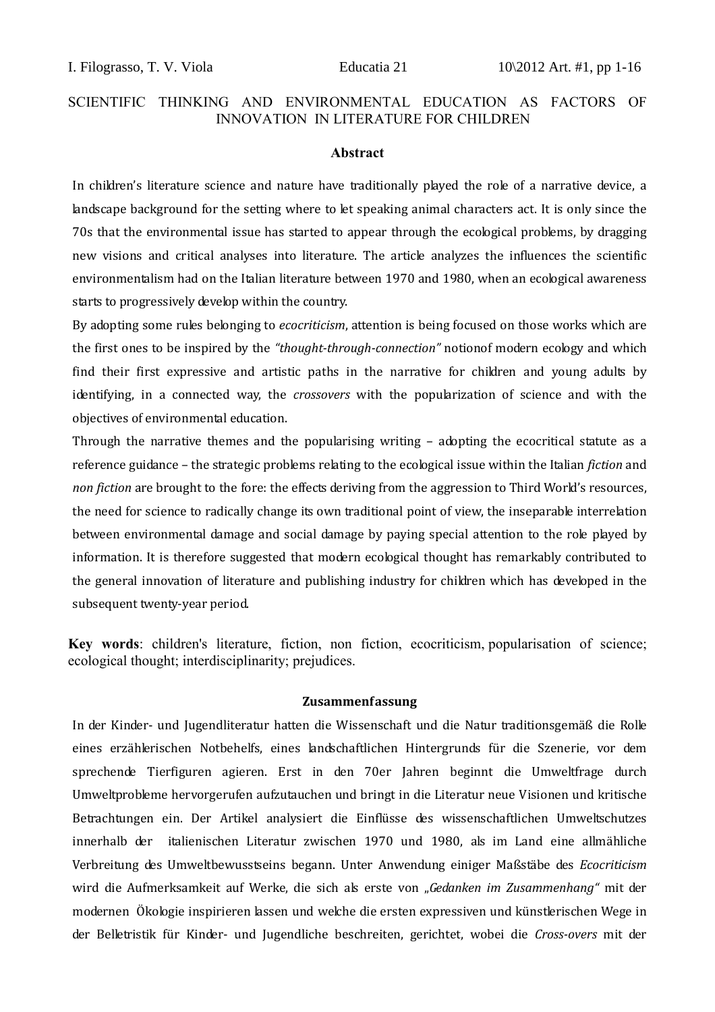### **Abstract**

In children's literature science and nature have traditionally played the role of a narrative device, a landscape background for the setting where to let speaking animal characters act. It is only since the 70s that the environmental issue has started to appear through the ecological problems, by dragging new visions and critical analyses into literature. The article analyzes the influences the scientific environmentalism had on the Italian literature between 1970 and 1980, when an ecological awareness starts to progressively develop within the country.

By adopting some rules belonging to *ecocriticism*, attention is being focused on those works which are the first ones to be inspired by the *"thought-through-connection"* notionof modern ecology and which find their first expressive and artistic paths in the narrative for children and young adults by identifying, in a connected way, the *crossovers* with the popularization of science and with the objectives of environmental education.

Through the narrative themes and the popularising writing – adopting the ecocritical statute as a reference guidance – the strategic problems relating to the ecological issue within the Italian *fiction* and *non fiction* are brought to the fore: the effects deriving from the aggression to Third World's resources, the need for science to radically change its own traditional point of view, the inseparable interrelation between environmental damage and social damage by paying special attention to the role played by information. It is therefore suggested that modern ecological thought has remarkably contributed to the general innovation of literature and publishing industry for children which has developed in the subsequent twenty-year period.

**Key words**: children's literature, fiction, non fiction, ecocriticism, popularisation of science; ecological thought; interdisciplinarity; prejudices.

### **Zusammenfassung**

In der Kinder- und Jugendliteratur hatten die Wissenschaft und die Natur traditionsgemäß die Rolle eines erzählerischen Notbehelfs, eines landschaftlichen Hintergrunds für die Szenerie, vor dem sprechende Tierfiguren agieren. Erst in den 70er Jahren beginnt die Umweltfrage durch Umweltprobleme hervorgerufen aufzutauchen und bringt in die Literatur neue Visionen und kritische Betrachtungen ein. Der Artikel analysiert die Einflüsse des wissenschaftlichen Umweltschutzes innerhalb der italienischen Literatur zwischen 1970 und 1980, als im Land eine allmähliche Verbreitung des Umweltbewusstseins begann. Unter Anwendung einiger Maßstäbe des *Ecocriticism* wird die Aufmerksamkeit auf Werke, die sich als erste von "*Gedanken im Zusammenhang"* mit der modernen Ökologie inspirieren lassen und welche die ersten expressiven und künstlerischen Wege in der Belletristik für Kinder- und Jugendliche beschreiten, gerichtet, wobei die *Cross-overs* mit der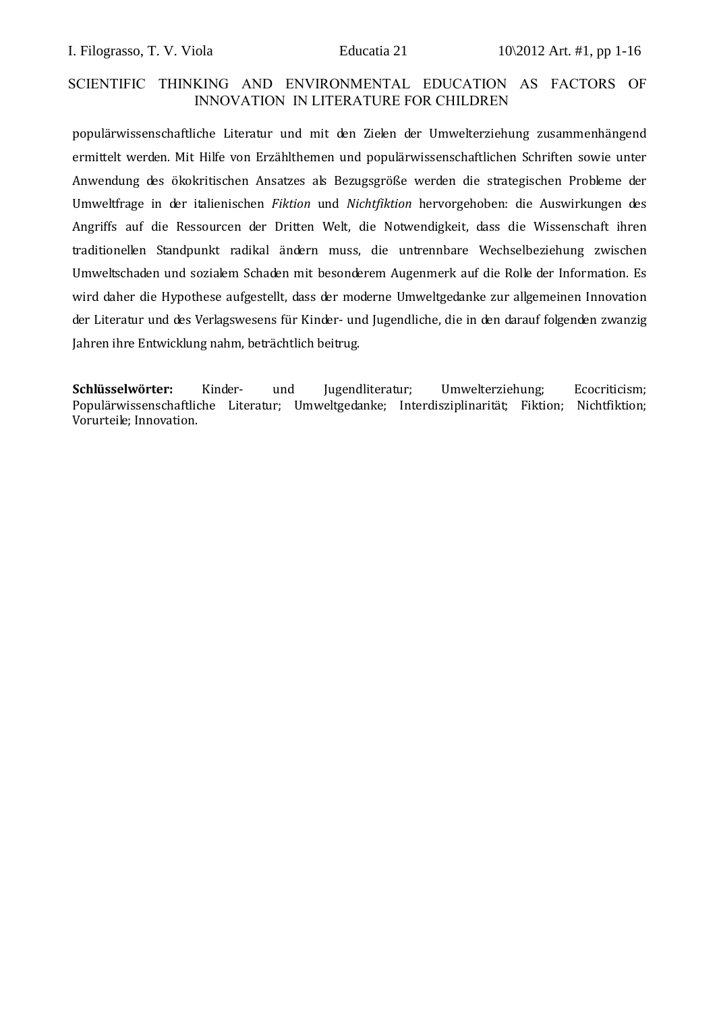populärwissenschaftliche Literatur und mit den Zielen der Umwelterziehung zusammenhängend ermittelt werden. Mit Hilfe von Erzählthemen und populärwissenschaftlichen Schriften sowie unter Anwendung des ökokritischen Ansatzes als Bezugsgröße werden die strategischen Probleme der Umweltfrage in der italienischen *Fiktion* und *Nichtfiktion* hervorgehoben: die Auswirkungen des Angriffs auf die Ressourcen der Dritten Welt, die Notwendigkeit, dass die Wissenschaft ihren traditionellen Standpunkt radikal ändern muss, die untrennbare Wechselbeziehung zwischen Umweltschaden und sozialem Schaden mit besonderem Augenmerk auf die Rolle der Information. Es wird daher die Hypothese aufgestellt, dass der moderne Umweltgedanke zur allgemeinen Innovation der Literatur und des Verlagswesens für Kinder- und Jugendliche, die in den darauf folgenden zwanzig Jahren ihre Entwicklung nahm, beträchtlich beitrug.

**Schlüsselwörter:** Kinder- und Jugendliteratur; Umwelterziehung; Ecocriticism; Populärwissenschaftliche Literatur; Umweltgedanke; Interdisziplinarität; Fiktion; Nichtfiktion; Vorurteile; Innovation.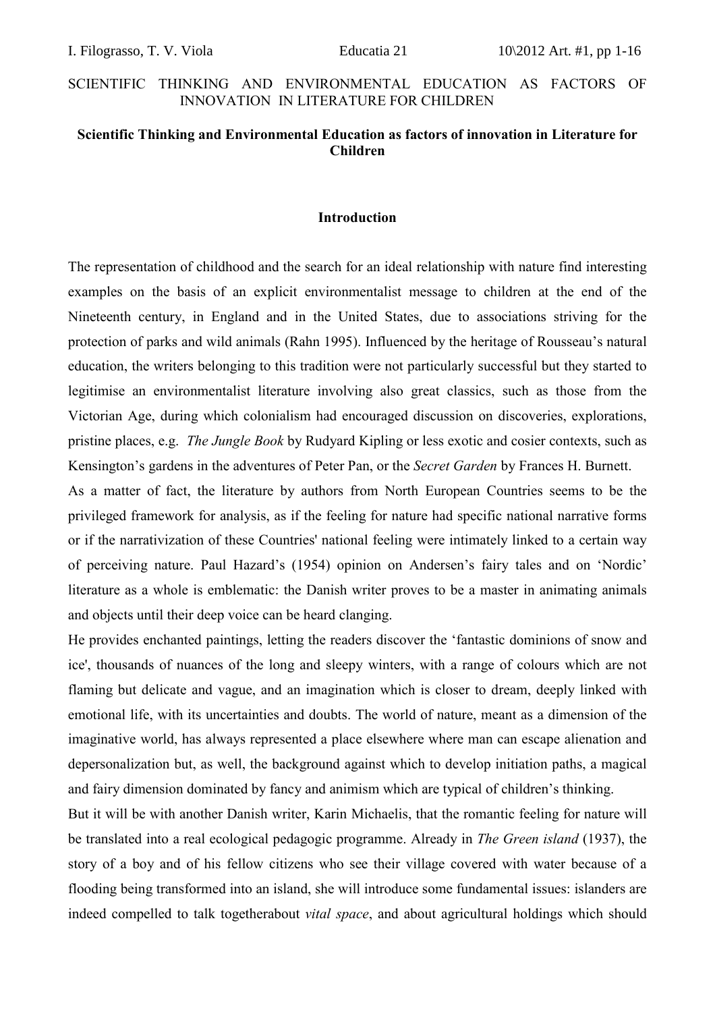### **Scientific Thinking and Environmental Education as factors of innovation in Literature for Children**

### **Introduction**

The representation of childhood and the search for an ideal relationship with nature find interesting examples on the basis of an explicit environmentalist message to children at the end of the Nineteenth century, in England and in the United States, due to associations striving for the protection of parks and wild animals (Rahn 1995). Influenced by the heritage of Rousseau's natural education, the writers belonging to this tradition were not particularly successful but they started to legitimise an environmentalist literature involving also great classics, such as those from the Victorian Age, during which colonialism had encouraged discussion on discoveries, explorations, pristine places, e.g. *The Jungle Book* by Rudyard Kipling or less exotic and cosier contexts, such as Kensington's gardens in the adventures of Peter Pan, or the *Secret Garden* by Frances H. Burnett.

As a matter of fact, the literature by authors from North European Countries seems to be the privileged framework for analysis, as if the feeling for nature had specific national narrative forms or if the narrativization of these Countries' national feeling were intimately linked to a certain way of perceiving nature. Paul Hazard's (1954) opinion on Andersen's fairy tales and on 'Nordic' literature as a whole is emblematic: the Danish writer proves to be a master in animating animals and objects until their deep voice can be heard clanging.

He provides enchanted paintings, letting the readers discover the 'fantastic dominions of snow and ice', thousands of nuances of the long and sleepy winters, with a range of colours which are not flaming but delicate and vague, and an imagination which is closer to dream, deeply linked with emotional life, with its uncertainties and doubts. The world of nature, meant as a dimension of the imaginative world, has always represented a place elsewhere where man can escape alienation and depersonalization but, as well, the background against which to develop initiation paths, a magical and fairy dimension dominated by fancy and animism which are typical of children's thinking.

But it will be with another Danish writer, Karin Michaelis, that the romantic feeling for nature will be translated into a real ecological pedagogic programme. Already in *The Green island* (1937), the story of a boy and of his fellow citizens who see their village covered with water because of a flooding being transformed into an island, she will introduce some fundamental issues: islanders are indeed compelled to talk togetherabout *vital space*, and about agricultural holdings which should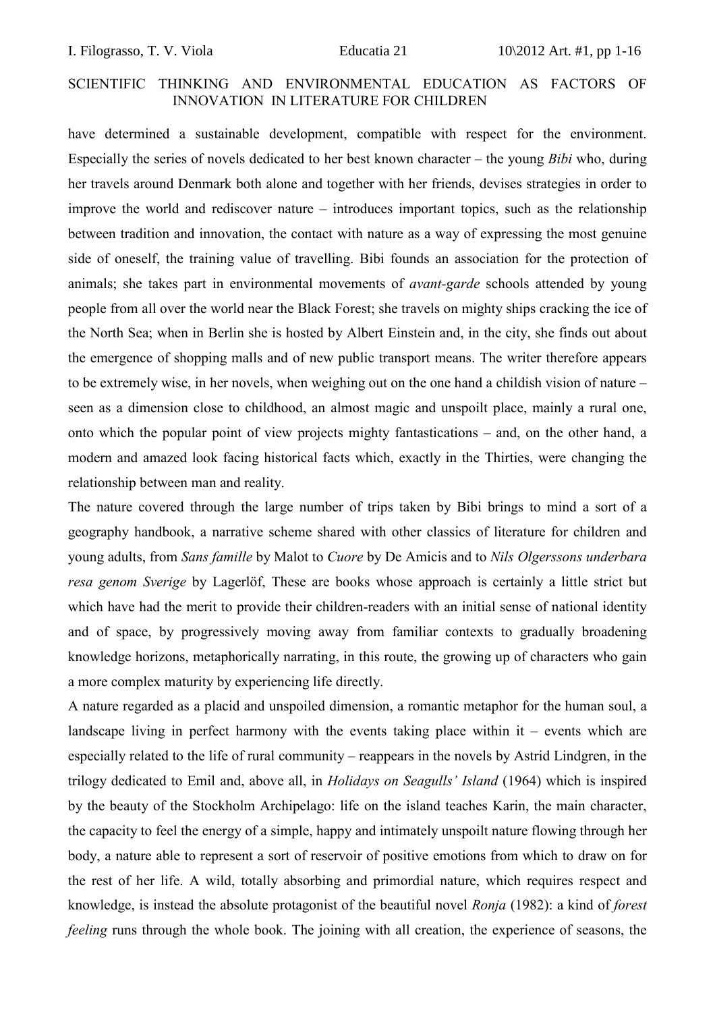have determined a sustainable development, compatible with respect for the environment. Especially the series of novels dedicated to her best known character – the young *Bibi* who, during her travels around Denmark both alone and together with her friends, devises strategies in order to improve the world and rediscover nature – introduces important topics, such as the relationship between tradition and innovation, the contact with nature as a way of expressing the most genuine side of oneself, the training value of travelling. Bibi founds an association for the protection of animals; she takes part in environmental movements of *avant-garde* schools attended by young people from all over the world near the Black Forest; she travels on mighty ships cracking the ice of the North Sea; when in Berlin she is hosted by Albert Einstein and, in the city, she finds out about the emergence of shopping malls and of new public transport means. The writer therefore appears to be extremely wise, in her novels, when weighing out on the one hand a childish vision of nature – seen as a dimension close to childhood, an almost magic and unspoilt place, mainly a rural one, onto which the popular point of view projects mighty fantastications – and, on the other hand, a modern and amazed look facing historical facts which, exactly in the Thirties, were changing the relationship between man and reality.

The nature covered through the large number of trips taken by Bibi brings to mind a sort of a geography handbook, a narrative scheme shared with other classics of literature for children and young adults, from *Sans famille* by Malot to *Cuore* by De Amicis and to *Nils Olgerssons underbara resa genom Sverige* by Lagerlöf, These are books whose approach is certainly a little strict but which have had the merit to provide their children-readers with an initial sense of national identity and of space, by progressively moving away from familiar contexts to gradually broadening knowledge horizons, metaphorically narrating, in this route, the growing up of characters who gain a more complex maturity by experiencing life directly.

A nature regarded as a placid and unspoiled dimension, a romantic metaphor for the human soul, a landscape living in perfect harmony with the events taking place within  $it$  – events which are especially related to the life of rural community – reappears in the novels by Astrid Lindgren, in the trilogy dedicated to Emil and, above all, in *Holidays on Seagulls' Island* (1964) which is inspired by the beauty of the Stockholm Archipelago: life on the island teaches Karin, the main character, the capacity to feel the energy of a simple, happy and intimately unspoilt nature flowing through her body, a nature able to represent a sort of reservoir of positive emotions from which to draw on for the rest of her life. A wild, totally absorbing and primordial nature, which requires respect and knowledge, is instead the absolute protagonist of the beautiful novel *Ronja* (1982): a kind of *forest feeling* runs through the whole book. The joining with all creation, the experience of seasons, the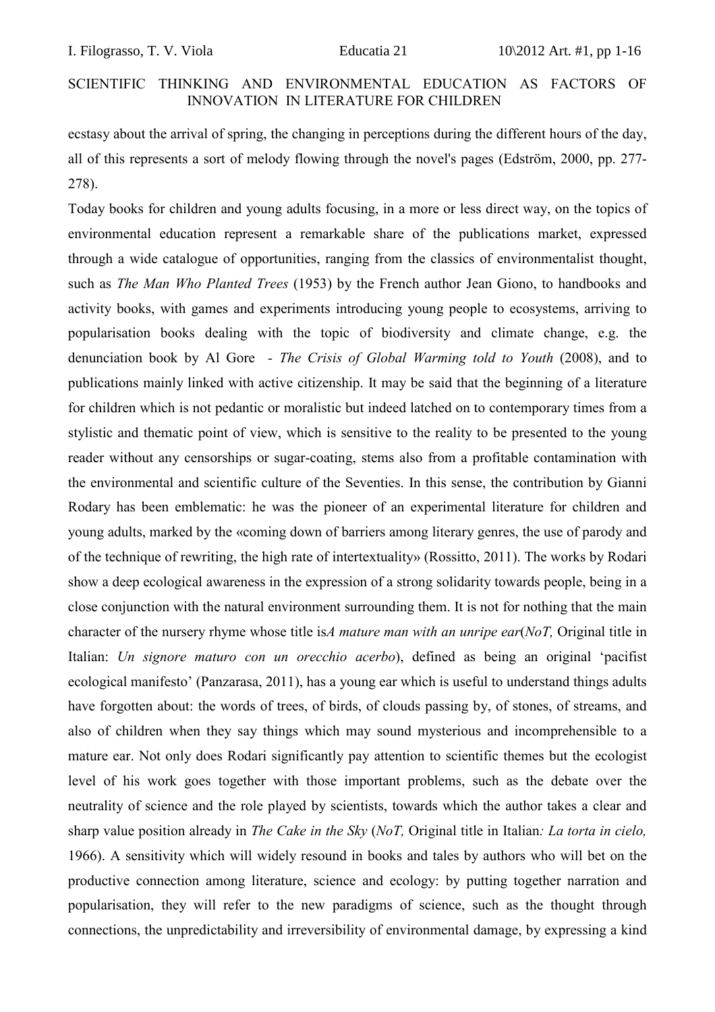ecstasy about the arrival of spring, the changing in perceptions during the different hours of the day, all of this represents a sort of melody flowing through the novel's pages (Edström, 2000, pp. 277- 278).

Today books for children and young adults focusing, in a more or less direct way, on the topics of environmental education represent a remarkable share of the publications market, expressed through a wide catalogue of opportunities, ranging from the classics of environmentalist thought, such as *The Man Who Planted Trees* (1953) by the French author Jean Giono, to handbooks and activity books, with games and experiments introducing young people to ecosystems, arriving to popularisation books dealing with the topic of biodiversity and climate change, e.g. the denunciation book by Al Gore *- The Crisis of Global Warming told to Youth* (2008), and to publications mainly linked with active citizenship. It may be said that the beginning of a literature for children which is not pedantic or moralistic but indeed latched on to contemporary times from a stylistic and thematic point of view, which is sensitive to the reality to be presented to the young reader without any censorships or sugar-coating, stems also from a profitable contamination with the environmental and scientific culture of the Seventies. In this sense, the contribution by Gianni Rodary has been emblematic: he was the pioneer of an experimental literature for children and young adults, marked by the «coming down of barriers among literary genres, the use of parody and of the technique of rewriting, the high rate of intertextuality» (Rossitto, 2011). The works by Rodari show a deep ecological awareness in the expression of a strong solidarity towards people, being in a close conjunction with the natural environment surrounding them. It is not for nothing that the main character of the nursery rhyme whose title is*A mature man with an unripe ear*(*NoT,* Original title in Italian: *Un signore maturo con un orecchio acerbo*), defined as being an original 'pacifist ecological manifesto' (Panzarasa, 2011), has a young ear which is useful to understand things adults have forgotten about: the words of trees, of birds, of clouds passing by, of stones, of streams, and also of children when they say things which may sound mysterious and incomprehensible to a mature ear. Not only does Rodari significantly pay attention to scientific themes but the ecologist level of his work goes together with those important problems, such as the debate over the neutrality of science and the role played by scientists, towards which the author takes a clear and sharp value position already in *The Cake in the Sky* (*NoT,* Original title in Italian*: La torta in cielo,* 1966). A sensitivity which will widely resound in books and tales by authors who will bet on the productive connection among literature, science and ecology: by putting together narration and popularisation, they will refer to the new paradigms of science, such as the thought through connections, the unpredictability and irreversibility of environmental damage, by expressing a kind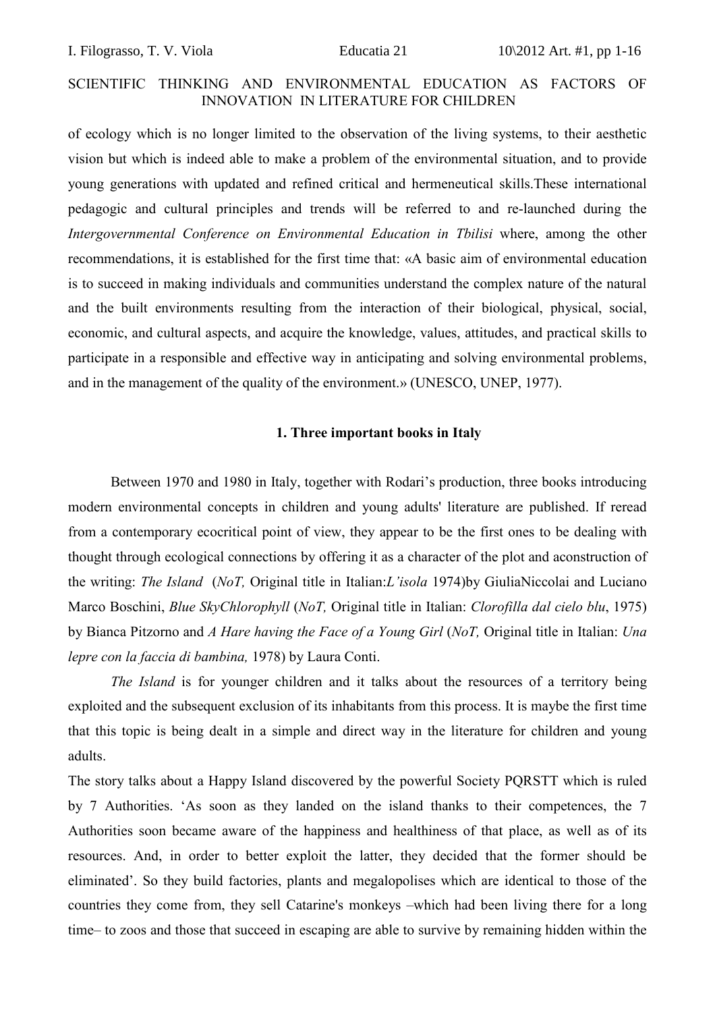of ecology which is no longer limited to the observation of the living systems, to their aesthetic vision but which is indeed able to make a problem of the environmental situation, and to provide young generations with updated and refined critical and hermeneutical skills.These international pedagogic and cultural principles and trends will be referred to and re-launched during the *Intergovernmental Conference on Environmental Education in Tbilisi* where, among the other recommendations, it is established for the first time that: «A basic aim of environmental education is to succeed in making individuals and communities understand the complex nature of the natural and the built environments resulting from the interaction of their biological, physical, social, economic, and cultural aspects, and acquire the knowledge, values, attitudes, and practical skills to participate in a responsible and effective way in anticipating and solving environmental problems, and in the management of the quality of the environment.» (UNESCO, UNEP, 1977).

### **1. Three important books in Italy**

Between 1970 and 1980 in Italy, together with Rodari's production, three books introducing modern environmental concepts in children and young adults' literature are published. If reread from a contemporary ecocritical point of view, they appear to be the first ones to be dealing with thought through ecological connections by offering it as a character of the plot and aconstruction of the writing: *The Island* (*NoT,* Original title in Italian:*L'isola* 1974)by GiuliaNiccolai and Luciano Marco Boschini, *Blue SkyChlorophyll* (*NoT,* Original title in Italian: *Clorofilla dal cielo blu*, 1975) by Bianca Pitzorno and *A Hare having the Face of a Young Girl* (*NoT,* Original title in Italian: *Una lepre con la faccia di bambina,* 1978) by Laura Conti.

*The Island* is for vounger children and it talks about the resources of a territory being exploited and the subsequent exclusion of its inhabitants from this process. It is maybe the first time that this topic is being dealt in a simple and direct way in the literature for children and young adults.

The story talks about a Happy Island discovered by the powerful Society PQRSTT which is ruled by 7 Authorities. 'As soon as they landed on the island thanks to their competences, the 7 Authorities soon became aware of the happiness and healthiness of that place, as well as of its resources. And, in order to better exploit the latter, they decided that the former should be eliminated'. So they build factories, plants and megalopolises which are identical to those of the countries they come from, they sell Catarine's monkeys –which had been living there for a long time– to zoos and those that succeed in escaping are able to survive by remaining hidden within the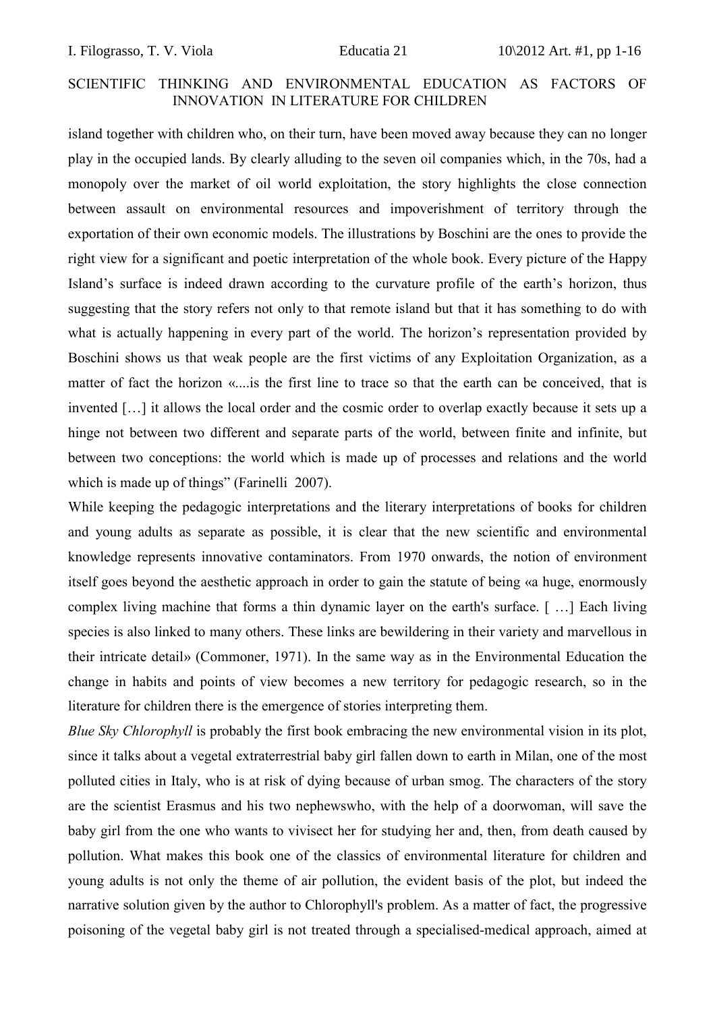island together with children who, on their turn, have been moved away because they can no longer play in the occupied lands. By clearly alluding to the seven oil companies which, in the 70s, had a monopoly over the market of oil world exploitation, the story highlights the close connection between assault on environmental resources and impoverishment of territory through the exportation of their own economic models. The illustrations by Boschini are the ones to provide the right view for a significant and poetic interpretation of the whole book. Every picture of the Happy Island's surface is indeed drawn according to the curvature profile of the earth's horizon, thus suggesting that the story refers not only to that remote island but that it has something to do with what is actually happening in every part of the world. The horizon's representation provided by Boschini shows us that weak people are the first victims of any Exploitation Organization, as a matter of fact the horizon «....is the first line to trace so that the earth can be conceived, that is invented […] it allows the local order and the cosmic order to overlap exactly because it sets up a hinge not between two different and separate parts of the world, between finite and infinite, but between two conceptions: the world which is made up of processes and relations and the world which is made up of things" (Farinelli 2007).

While keeping the pedagogic interpretations and the literary interpretations of books for children and young adults as separate as possible, it is clear that the new scientific and environmental knowledge represents innovative contaminators. From 1970 onwards, the notion of environment itself goes beyond the aesthetic approach in order to gain the statute of being «a huge, enormously complex living machine that forms a thin dynamic layer on the earth's surface. [ …] Each living species is also linked to many others. These links are bewildering in their variety and marvellous in their intricate detail» (Commoner, 1971). In the same way as in the Environmental Education the change in habits and points of view becomes a new territory for pedagogic research, so in the literature for children there is the emergence of stories interpreting them.

*Blue Sky Chlorophyll* is probably the first book embracing the new environmental vision in its plot, since it talks about a vegetal extraterrestrial baby girl fallen down to earth in Milan, one of the most polluted cities in Italy, who is at risk of dying because of urban smog. The characters of the story are the scientist Erasmus and his two nephewswho, with the help of a doorwoman, will save the baby girl from the one who wants to vivisect her for studying her and, then, from death caused by pollution. What makes this book one of the classics of environmental literature for children and young adults is not only the theme of air pollution, the evident basis of the plot, but indeed the narrative solution given by the author to Chlorophyll's problem. As a matter of fact, the progressive poisoning of the vegetal baby girl is not treated through a specialised-medical approach, aimed at